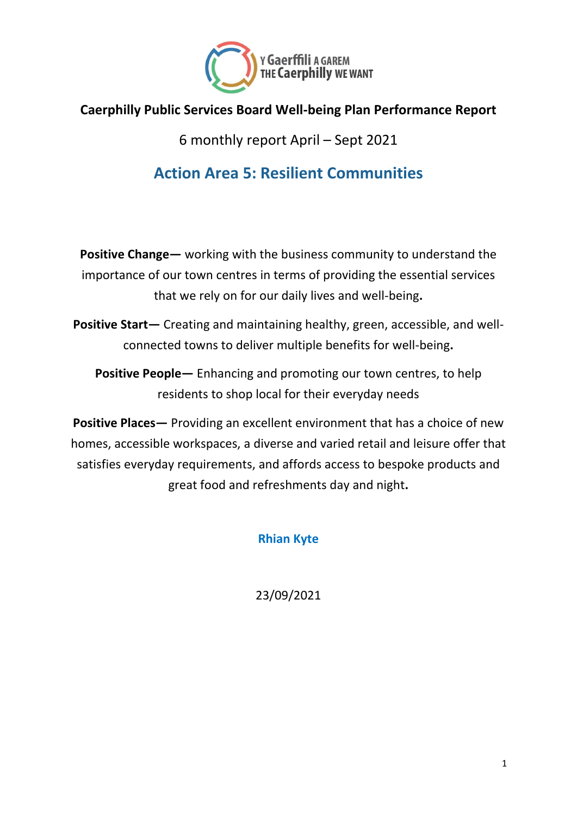

#### **Caerphilly Public Services Board Well-being Plan Performance Report**

6 monthly report April – Sept 2021

#### **Action Area 5: Resilient Communities**

**Positive Change—** working with the business community to understand the importance of our town centres in terms of providing the essential services that we rely on for our daily lives and well-being**.**

**Positive Start—** Creating and maintaining healthy, green, accessible, and wellconnected towns to deliver multiple benefits for well-being**.**

**Positive People—** Enhancing and promoting our town centres, to help residents to shop local for their everyday needs

**Positive Places—** Providing an excellent environment that has a choice of new homes, accessible workspaces, a diverse and varied retail and leisure offer that satisfies everyday requirements, and affords access to bespoke products and great food and refreshments day and night**.**

**Rhian Kyte**

23/09/2021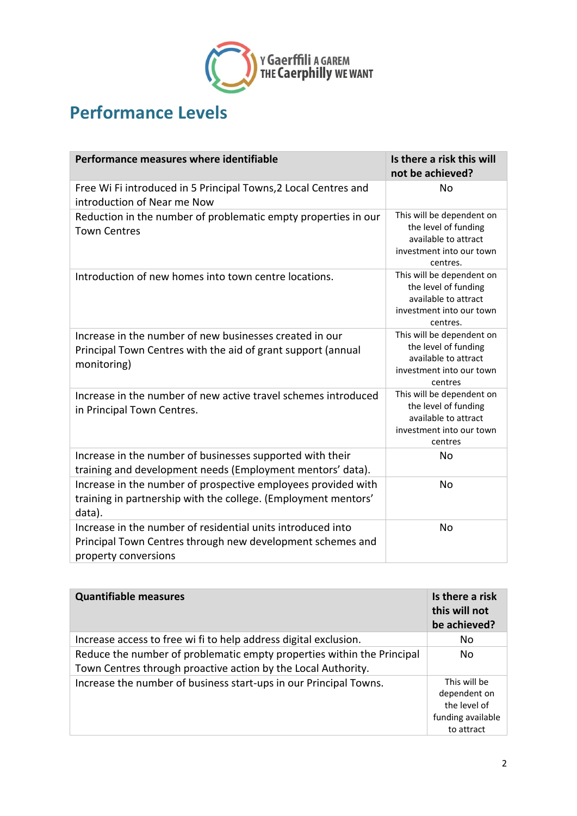

### **Performance Levels**

| Performance measures where identifiable                                                                                                           | Is there a risk this will<br>not be achieved?                                                                     |
|---------------------------------------------------------------------------------------------------------------------------------------------------|-------------------------------------------------------------------------------------------------------------------|
| Free Wi Fi introduced in 5 Principal Towns, 2 Local Centres and<br>introduction of Near me Now                                                    | No                                                                                                                |
| Reduction in the number of problematic empty properties in our<br><b>Town Centres</b>                                                             | This will be dependent on<br>the level of funding<br>available to attract<br>investment into our town<br>centres. |
| Introduction of new homes into town centre locations.                                                                                             | This will be dependent on<br>the level of funding<br>available to attract<br>investment into our town<br>centres. |
| Increase in the number of new businesses created in our<br>Principal Town Centres with the aid of grant support (annual<br>monitoring)            | This will be dependent on<br>the level of funding<br>available to attract<br>investment into our town<br>centres  |
| Increase in the number of new active travel schemes introduced<br>in Principal Town Centres.                                                      | This will be dependent on<br>the level of funding<br>available to attract<br>investment into our town<br>centres  |
| Increase in the number of businesses supported with their<br>training and development needs (Employment mentors' data).                           | No                                                                                                                |
| Increase in the number of prospective employees provided with<br>training in partnership with the college. (Employment mentors'<br>data).         | No                                                                                                                |
| Increase in the number of residential units introduced into<br>Principal Town Centres through new development schemes and<br>property conversions | No                                                                                                                |

| <b>Quantifiable measures</b>                                           | Is there a risk<br>this will not<br>be achieved?                                |
|------------------------------------------------------------------------|---------------------------------------------------------------------------------|
| Increase access to free wi fi to help address digital exclusion.       | No                                                                              |
| Reduce the number of problematic empty properties within the Principal | No.                                                                             |
| Town Centres through proactive action by the Local Authority.          |                                                                                 |
| Increase the number of business start-ups in our Principal Towns.      | This will be<br>dependent on<br>the level of<br>funding available<br>to attract |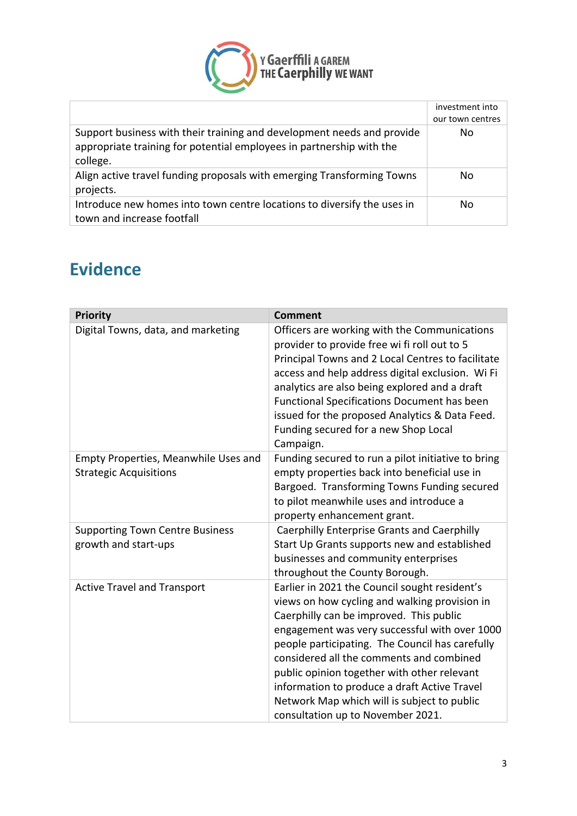

|                                                                                                                                                            | investment into<br>our town centres |
|------------------------------------------------------------------------------------------------------------------------------------------------------------|-------------------------------------|
| Support business with their training and development needs and provide<br>appropriate training for potential employees in partnership with the<br>college. | No.                                 |
| Align active travel funding proposals with emerging Transforming Towns<br>projects.                                                                        | No.                                 |
| Introduce new homes into town centre locations to diversify the uses in<br>town and increase footfall                                                      | No.                                 |

## **Evidence**

| <b>Priority</b>                                                       | <b>Comment</b>                                                                                                                                                                                                                                                                                                                                                                                                                                                               |
|-----------------------------------------------------------------------|------------------------------------------------------------------------------------------------------------------------------------------------------------------------------------------------------------------------------------------------------------------------------------------------------------------------------------------------------------------------------------------------------------------------------------------------------------------------------|
| Digital Towns, data, and marketing                                    | Officers are working with the Communications<br>provider to provide free wi fi roll out to 5<br>Principal Towns and 2 Local Centres to facilitate<br>access and help address digital exclusion. Wi Fi<br>analytics are also being explored and a draft<br><b>Functional Specifications Document has been</b><br>issued for the proposed Analytics & Data Feed.<br>Funding secured for a new Shop Local<br>Campaign.                                                          |
| Empty Properties, Meanwhile Uses and<br><b>Strategic Acquisitions</b> | Funding secured to run a pilot initiative to bring<br>empty properties back into beneficial use in<br>Bargoed. Transforming Towns Funding secured<br>to pilot meanwhile uses and introduce a<br>property enhancement grant.                                                                                                                                                                                                                                                  |
| <b>Supporting Town Centre Business</b><br>growth and start-ups        | <b>Caerphilly Enterprise Grants and Caerphilly</b><br>Start Up Grants supports new and established<br>businesses and community enterprises<br>throughout the County Borough.                                                                                                                                                                                                                                                                                                 |
| <b>Active Travel and Transport</b>                                    | Earlier in 2021 the Council sought resident's<br>views on how cycling and walking provision in<br>Caerphilly can be improved. This public<br>engagement was very successful with over 1000<br>people participating. The Council has carefully<br>considered all the comments and combined<br>public opinion together with other relevant<br>information to produce a draft Active Travel<br>Network Map which will is subject to public<br>consultation up to November 2021. |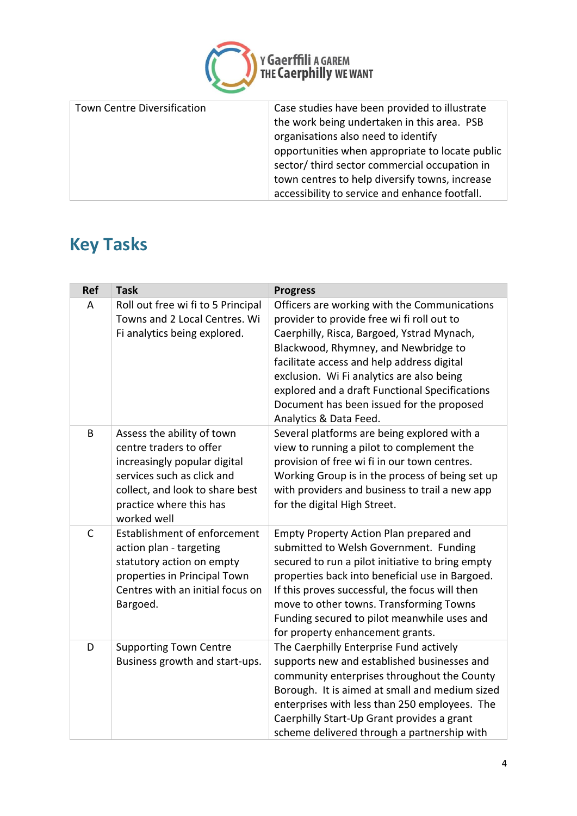

| Town Centre Diversification | Case studies have been provided to illustrate<br>the work being undertaken in this area. PSB<br>organisations also need to identify<br>opportunities when appropriate to locate public<br>sector/third sector commercial occupation in<br>town centres to help diversify towns, increase |
|-----------------------------|------------------------------------------------------------------------------------------------------------------------------------------------------------------------------------------------------------------------------------------------------------------------------------------|
|                             | accessibility to service and enhance footfall.                                                                                                                                                                                                                                           |

# **Key Tasks**

| <b>Ref</b> | <b>Task</b>                                                                                                                                                                                      | <b>Progress</b>                                                                                                                                                                                                                                                                                                                                                                                      |
|------------|--------------------------------------------------------------------------------------------------------------------------------------------------------------------------------------------------|------------------------------------------------------------------------------------------------------------------------------------------------------------------------------------------------------------------------------------------------------------------------------------------------------------------------------------------------------------------------------------------------------|
| A          | Roll out free wi fi to 5 Principal<br>Towns and 2 Local Centres. Wi<br>Fi analytics being explored.                                                                                              | Officers are working with the Communications<br>provider to provide free wi fi roll out to<br>Caerphilly, Risca, Bargoed, Ystrad Mynach,<br>Blackwood, Rhymney, and Newbridge to<br>facilitate access and help address digital<br>exclusion. Wi Fi analytics are also being<br>explored and a draft Functional Specifications<br>Document has been issued for the proposed<br>Analytics & Data Feed. |
| B          | Assess the ability of town<br>centre traders to offer<br>increasingly popular digital<br>services such as click and<br>collect, and look to share best<br>practice where this has<br>worked well | Several platforms are being explored with a<br>view to running a pilot to complement the<br>provision of free wi fi in our town centres.<br>Working Group is in the process of being set up<br>with providers and business to trail a new app<br>for the digital High Street.                                                                                                                        |
| C          | <b>Establishment of enforcement</b><br>action plan - targeting<br>statutory action on empty<br>properties in Principal Town<br>Centres with an initial focus on<br>Bargoed.                      | Empty Property Action Plan prepared and<br>submitted to Welsh Government. Funding<br>secured to run a pilot initiative to bring empty<br>properties back into beneficial use in Bargoed.<br>If this proves successful, the focus will then<br>move to other towns. Transforming Towns<br>Funding secured to pilot meanwhile uses and<br>for property enhancement grants.                             |
| D          | <b>Supporting Town Centre</b><br>Business growth and start-ups.                                                                                                                                  | The Caerphilly Enterprise Fund actively<br>supports new and established businesses and<br>community enterprises throughout the County<br>Borough. It is aimed at small and medium sized<br>enterprises with less than 250 employees. The<br>Caerphilly Start-Up Grant provides a grant<br>scheme delivered through a partnership with                                                                |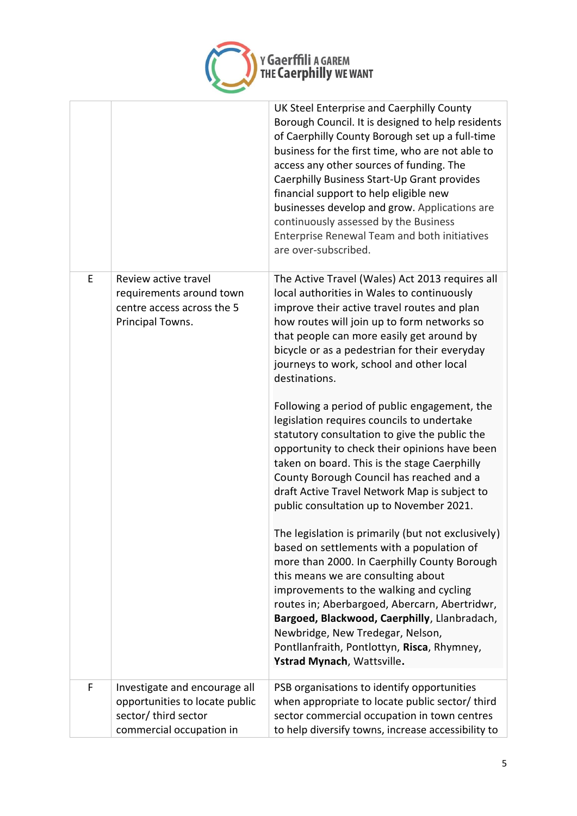

|   |                                                                                    | UK Steel Enterprise and Caerphilly County<br>Borough Council. It is designed to help residents<br>of Caerphilly County Borough set up a full-time<br>business for the first time, who are not able to<br>access any other sources of funding. The<br>Caerphilly Business Start-Up Grant provides<br>financial support to help eligible new<br>businesses develop and grow. Applications are<br>continuously assessed by the Business<br>Enterprise Renewal Team and both initiatives |
|---|------------------------------------------------------------------------------------|--------------------------------------------------------------------------------------------------------------------------------------------------------------------------------------------------------------------------------------------------------------------------------------------------------------------------------------------------------------------------------------------------------------------------------------------------------------------------------------|
| E | Review active travel                                                               | are over-subscribed.<br>The Active Travel (Wales) Act 2013 requires all                                                                                                                                                                                                                                                                                                                                                                                                              |
|   | requirements around town<br>centre access across the 5<br>Principal Towns.         | local authorities in Wales to continuously<br>improve their active travel routes and plan<br>how routes will join up to form networks so<br>that people can more easily get around by<br>bicycle or as a pedestrian for their everyday<br>journeys to work, school and other local<br>destinations.                                                                                                                                                                                  |
|   |                                                                                    | Following a period of public engagement, the<br>legislation requires councils to undertake<br>statutory consultation to give the public the<br>opportunity to check their opinions have been<br>taken on board. This is the stage Caerphilly<br>County Borough Council has reached and a<br>draft Active Travel Network Map is subject to<br>public consultation up to November 2021.                                                                                                |
|   |                                                                                    | The legislation is primarily (but not exclusively)<br>based on settlements with a population of<br>more than 2000. In Caerphilly County Borough<br>this means we are consulting about<br>improvements to the walking and cycling<br>routes in; Aberbargoed, Abercarn, Abertridwr,<br>Bargoed, Blackwood, Caerphilly, Llanbradach,<br>Newbridge, New Tredegar, Nelson,<br>Pontllanfraith, Pontlottyn, Risca, Rhymney,<br>Ystrad Mynach, Wattsville.                                   |
| F | Investigate and encourage all                                                      | PSB organisations to identify opportunities                                                                                                                                                                                                                                                                                                                                                                                                                                          |
|   | opportunities to locate public<br>sector/ third sector<br>commercial occupation in | when appropriate to locate public sector/ third<br>sector commercial occupation in town centres<br>to help diversify towns, increase accessibility to                                                                                                                                                                                                                                                                                                                                |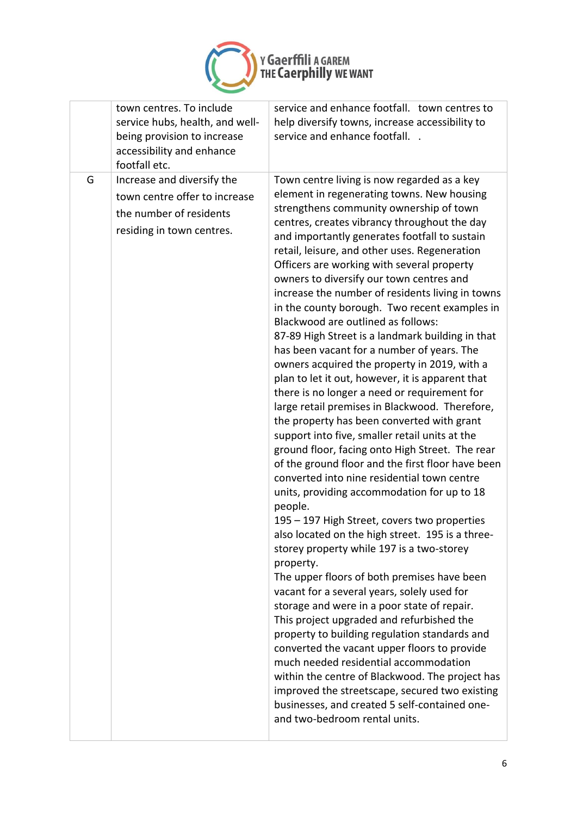

| town centres. To include<br>service hubs, health, and well-<br>being provision to increase<br>accessibility and enhance<br>footfall etc. | service and enhance footfall. town centres to<br>help diversify towns, increase accessibility to<br>service and enhance footfall. .                                                                                                                                                                                                                                                                                                                                                                                                                                                                                                                                                                                                                                                                                                                                                                                                                                                                                                                                                                                                                                                                                                                                                                                                                                                                                                                                                                                                                                                                                                                                                                                                                                                                                                           |
|------------------------------------------------------------------------------------------------------------------------------------------|-----------------------------------------------------------------------------------------------------------------------------------------------------------------------------------------------------------------------------------------------------------------------------------------------------------------------------------------------------------------------------------------------------------------------------------------------------------------------------------------------------------------------------------------------------------------------------------------------------------------------------------------------------------------------------------------------------------------------------------------------------------------------------------------------------------------------------------------------------------------------------------------------------------------------------------------------------------------------------------------------------------------------------------------------------------------------------------------------------------------------------------------------------------------------------------------------------------------------------------------------------------------------------------------------------------------------------------------------------------------------------------------------------------------------------------------------------------------------------------------------------------------------------------------------------------------------------------------------------------------------------------------------------------------------------------------------------------------------------------------------------------------------------------------------------------------------------------------------|
| G<br>Increase and diversify the<br>town centre offer to increase<br>the number of residents<br>residing in town centres.                 | Town centre living is now regarded as a key<br>element in regenerating towns. New housing<br>strengthens community ownership of town<br>centres, creates vibrancy throughout the day<br>and importantly generates footfall to sustain<br>retail, leisure, and other uses. Regeneration<br>Officers are working with several property<br>owners to diversify our town centres and<br>increase the number of residents living in towns<br>in the county borough. Two recent examples in<br>Blackwood are outlined as follows:<br>87-89 High Street is a landmark building in that<br>has been vacant for a number of years. The<br>owners acquired the property in 2019, with a<br>plan to let it out, however, it is apparent that<br>there is no longer a need or requirement for<br>large retail premises in Blackwood. Therefore,<br>the property has been converted with grant<br>support into five, smaller retail units at the<br>ground floor, facing onto High Street. The rear<br>of the ground floor and the first floor have been<br>converted into nine residential town centre<br>units, providing accommodation for up to 18<br>people.<br>195 - 197 High Street, covers two properties<br>also located on the high street. 195 is a three-<br>storey property while 197 is a two-storey<br>property.<br>The upper floors of both premises have been<br>vacant for a several years, solely used for<br>storage and were in a poor state of repair.<br>This project upgraded and refurbished the<br>property to building regulation standards and<br>converted the vacant upper floors to provide<br>much needed residential accommodation<br>within the centre of Blackwood. The project has<br>improved the streetscape, secured two existing<br>businesses, and created 5 self-contained one-<br>and two-bedroom rental units. |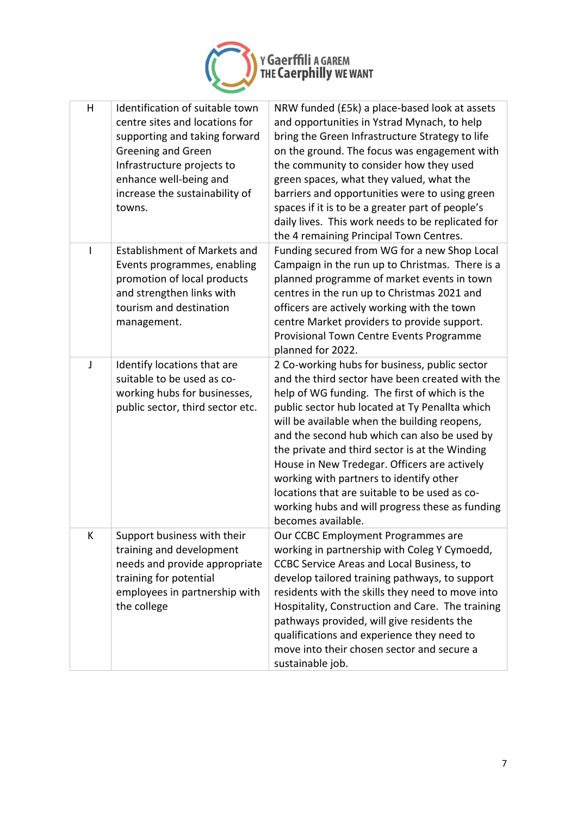

| H  | Identification of suitable town<br>centre sites and locations for<br>supporting and taking forward<br>Greening and Green<br>Infrastructure projects to<br>enhance well-being and<br>increase the sustainability of<br>towns. | NRW funded (£5k) a place-based look at assets<br>and opportunities in Ystrad Mynach, to help<br>bring the Green Infrastructure Strategy to life<br>on the ground. The focus was engagement with<br>the community to consider how they used<br>green spaces, what they valued, what the<br>barriers and opportunities were to using green<br>spaces if it is to be a greater part of people's<br>daily lives. This work needs to be replicated for<br>the 4 remaining Principal Town Centres.                                                                               |
|----|------------------------------------------------------------------------------------------------------------------------------------------------------------------------------------------------------------------------------|----------------------------------------------------------------------------------------------------------------------------------------------------------------------------------------------------------------------------------------------------------------------------------------------------------------------------------------------------------------------------------------------------------------------------------------------------------------------------------------------------------------------------------------------------------------------------|
| I. | Establishment of Markets and<br>Events programmes, enabling<br>promotion of local products<br>and strengthen links with<br>tourism and destination<br>management.                                                            | Funding secured from WG for a new Shop Local<br>Campaign in the run up to Christmas. There is a<br>planned programme of market events in town<br>centres in the run up to Christmas 2021 and<br>officers are actively working with the town<br>centre Market providers to provide support.<br>Provisional Town Centre Events Programme<br>planned for 2022.                                                                                                                                                                                                                |
| J  | Identify locations that are<br>suitable to be used as co-<br>working hubs for businesses,<br>public sector, third sector etc.                                                                                                | 2 Co-working hubs for business, public sector<br>and the third sector have been created with the<br>help of WG funding. The first of which is the<br>public sector hub located at Ty Penallta which<br>will be available when the building reopens,<br>and the second hub which can also be used by<br>the private and third sector is at the Winding<br>House in New Tredegar. Officers are actively<br>working with partners to identify other<br>locations that are suitable to be used as co-<br>working hubs and will progress these as funding<br>becomes available. |
| К  | Support business with their<br>training and development<br>needs and provide appropriate<br>training for potential<br>employees in partnership with<br>the college                                                           | Our CCBC Employment Programmes are<br>working in partnership with Coleg Y Cymoedd,<br><b>CCBC Service Areas and Local Business, to</b><br>develop tailored training pathways, to support<br>residents with the skills they need to move into<br>Hospitality, Construction and Care. The training<br>pathways provided, will give residents the<br>qualifications and experience they need to<br>move into their chosen sector and secure a<br>sustainable job.                                                                                                             |